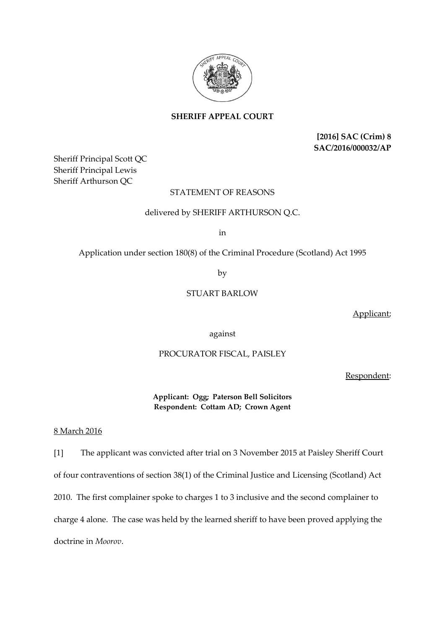

**SHERIFF APPEAL COURT**

**[2016] SAC (Crim) 8 SAC/2016/000032/AP**

Sheriff Principal Scott QC Sheriff Principal Lewis Sheriff Arthurson QC

## STATEMENT OF REASONS

## delivered by SHERIFF ARTHURSON Q.C.

in

Application under section 180(8) of the Criminal Procedure (Scotland) Act 1995

by

## STUART BARLOW

Applicant;

against

## PROCURATOR FISCAL, PAISLEY

Respondent:

**Applicant: Ogg; Paterson Bell Solicitors Respondent: Cottam AD; Crown Agent**

8 March 2016

[1] The applicant was convicted after trial on 3 November 2015 at Paisley Sheriff Court of four contraventions of section 38(1) of the Criminal Justice and Licensing (Scotland) Act 2010. The first complainer spoke to charges 1 to 3 inclusive and the second complainer to charge 4 alone. The case was held by the learned sheriff to have been proved applying the doctrine in *Moorov*.